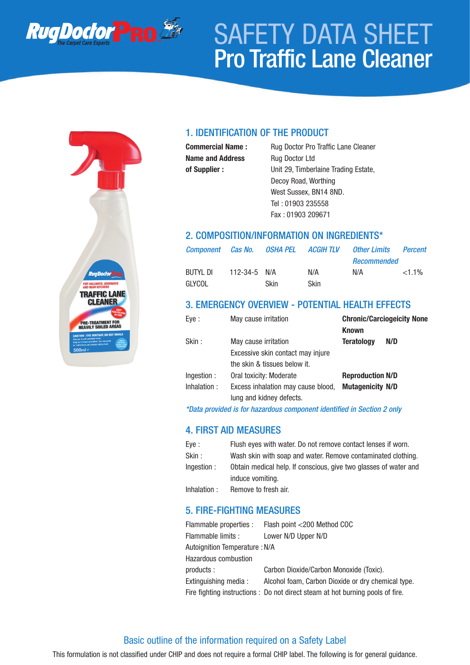

# SAFETY DATA SHEET Pro Traffic Lane Cleaner



## 1. IDENTIFICATION OF THE PRODUCT

**Name and Address** Rug Doctor Ltd

**Commercial Name :** Rug Doctor Pro Traffic Lane Cleaner **of Supplier :** Unit 29, Timberlaine Trading Estate, Decoy Road, Worthing West Sussex, BN14 8ND. Tel : 01903 235558 Fax : 01903 209671

## 2. COMPOSITION/INFORMATION ON INGREDIENTS\*

|          |                    | Component Cas No.  OSHA PEL ACGIH TLV |             | Other Limits       | <b>Percent</b> |
|----------|--------------------|---------------------------------------|-------------|--------------------|----------------|
|          |                    |                                       |             | <b>Recommended</b> |                |
| BUTYL DI | $112 - 34 - 5$ N/A |                                       | N/A         | N/A                | $<1.1\%$       |
| GLYCOL   |                    | Skin.                                 | <b>Skin</b> |                    |                |

## 3. EMERGENCY OVERVIEW - POTENTIAL HEALTH EFFECTS

| Eye :        | May cause irritation               | <b>Known</b>            | <b>Chronic/Carciogeicity None</b> |
|--------------|------------------------------------|-------------------------|-----------------------------------|
| Skin:        | May cause irritation               | <b>Teratology</b>       | N/D                               |
|              | Excessive skin contact may injure  |                         |                                   |
|              | the skin & tissues below it.       |                         |                                   |
| Ingestion :  | Oral toxicity: Moderate            | <b>Reproduction N/D</b> |                                   |
| Inhalation : | Excess inhalation may cause blood, | <b>Mutagenicity N/D</b> |                                   |
|              | lung and kidney defects.           |                         |                                   |

*\*Data provided is for hazardous component identified in Section 2 only*

# 4. FIRST AID MEASURES

| Eye:         | Flush eyes with water. Do not remove contact lenses if worn.     |
|--------------|------------------------------------------------------------------|
| Skin :       | Wash skin with soap and water. Remove contaminated clothing.     |
| Ingestion:   | Obtain medical help. If conscious, give two glasses of water and |
|              | induce vomiting.                                                 |
| Inhalation : | Remove to fresh air.                                             |

## 5. FIRE-FIGHTING MEASURES

|                                | Flammable properties : Flash point <200 Method COC                            |
|--------------------------------|-------------------------------------------------------------------------------|
| Flammable limits :             | Lower N/D Upper N/D                                                           |
| Autoignition Temperature : N/A |                                                                               |
| <b>Hazardous combustion</b>    |                                                                               |
| products :                     | Carbon Dioxide/Carbon Monoxide (Toxic).                                       |
| Extinguishing media :          | Alcohol foam, Carbon Dioxide or dry chemical type.                            |
|                                | Fire fighting instructions: Do not direct steam at hot burning pools of fire. |

## Basic outline of the information required on a Safety Label

This formulation is not classified under CHIP and does not require a formal CHIP label. The following is for general guidance.